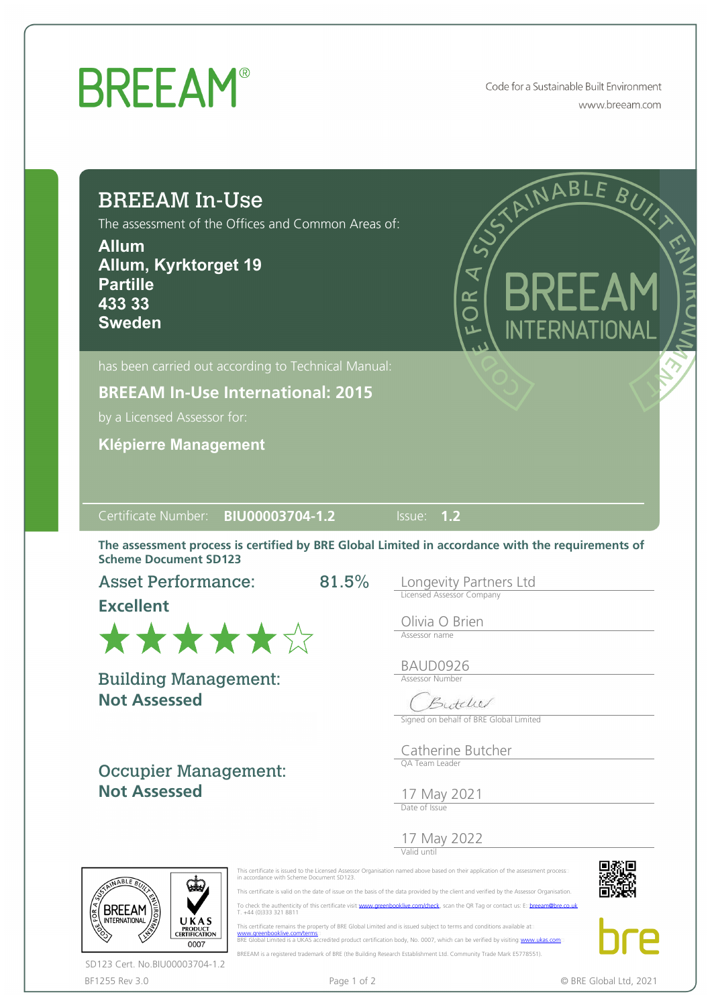## **BREEAM®**

Code for a Sustainable Built Environment www.breeam.com

| <b>BREEAM In-Use</b><br>The assessment of the Offices and Common Areas of:<br><b>Allum</b><br>Allum, Kyrktorget 19<br><b>Partille</b><br>433 33<br><b>Sweden</b> |          | STAINABLE BUY<br>AS)<br><b>BREEAM</b><br>OR<br>O<br>INTERNATIONAL                                                                                |
|------------------------------------------------------------------------------------------------------------------------------------------------------------------|----------|--------------------------------------------------------------------------------------------------------------------------------------------------|
| has been carried out according to Technical Manual:                                                                                                              |          |                                                                                                                                                  |
| <b>BREEAM In-Use International: 2015</b>                                                                                                                         |          |                                                                                                                                                  |
| by a Licensed Assessor for:                                                                                                                                      |          |                                                                                                                                                  |
| <b>Klépierre Management</b>                                                                                                                                      |          |                                                                                                                                                  |
|                                                                                                                                                                  |          | The assessment process is certified by BRE Global Limited in accordance with the requirements of                                                 |
| <b>Asset Performance:</b>                                                                                                                                        | $81.5\%$ | Longevity Partners Ltd<br>Licensed Assessor Company                                                                                              |
| <b>Excellent</b><br>******                                                                                                                                       |          | Olivia O Brien<br>Assessor name                                                                                                                  |
|                                                                                                                                                                  |          | BAUD0926<br>Assessor Number<br>Butchel<br>Signed on behalf of BRE Global Limited                                                                 |
| <b>Not Assessed</b><br><b>Occupier Management:</b><br><b>Not Assessed</b>                                                                                        |          | Catherine Butcher<br>OA Team Leader<br>17 May 2021<br>Date of Issue                                                                              |
| <b>Scheme Document SD123</b><br><b>Building Management:</b>                                                                                                      |          | 17 May 2022<br>This certificate is issued to the Licensed Assessor Organisation named above based on their application of the assessment process |

BF1255 Rev 3.0 **Page 1 of 2** Page 1 of 2 **C** BRE Global Ltd, 2021 SD123 Cert. No.BIU00003704-1.2